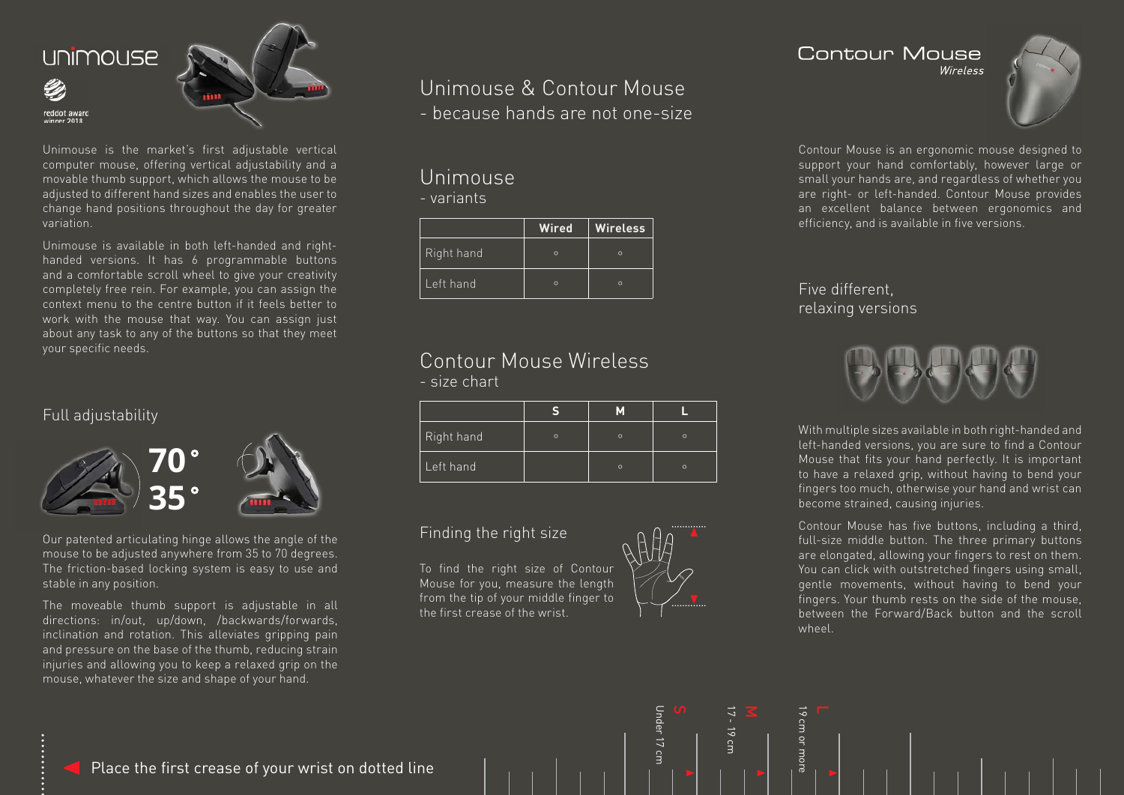

Unimouse is the market's first adjustable vertical computer mouse, offering vertical adjustability and a movable thumb support, which allows the mouse to be adjusted to different hand sizes and enables the user to change hand positions throughout the day for greater variation.

Unimouse is available in both left-handed and righthanded versions. It has 6 programmable buttons and a comfortable scroll wheel to give your creativity completely free rein. For example, you can assign the context menu to the centre button if it feels better to work with the mouse that way. You can assign just about any task to any of the buttons so that they meet your specific needs.

#### Full adjustability



Our patented articulating hinge allows the angle of the mouse to be adjusted anywhere from 35 to 70 degrees. The friction-based locking system is easy to use and stable in any position.

The moveable thumb support is adjustable in all directions: in/out, up/down, /backwards/forwards, inclination and rotation. This alleviates gripping pain and pressure on the base of the thumb, reducing strain injuries and allowing you to keep a relaxed grip on the mouse, whatever the size and shape of your hand.

# Unimouse & Contour Mouse

- because hands are not one-size

# Unimouse

- variants

|            | <b>Wired</b> | Wireless |
|------------|--------------|----------|
| Right hand | $\Omega$     | $\Omega$ |
| Left hand  | $\Omega$     | $\Omega$ |

#### Contour Mouse Wireless - size chart

| Right hand | $\Omega$ | $\circ$ | $\Omega$ |
|------------|----------|---------|----------|
| Left hand  |          | $\circ$ | $\Omega$ |

Under 17 cm

 $\Xi$ 

Under 17

17 - 19 cm

 $17 - 19$  cm

19 cm or more

more

19 cm or

#### Finding the right size

To find the right size of Contour Mouse for you, measure the length from the tip of your middle finger to the first crease of the wrist.

### Contour Mouse

Wireless



Contour Mouse is an ergonomic mouse designed to support your hand comfortably, however large or small your hands are, and regardless of whether you are right- or left-handed. Contour Mouse provides an excellent balance between ergonomics and efficiency, and is available in five versions.

#### Five different, relaxing versions



With multiple sizes available in both right-handed and left-handed versions, you are sure to find a Contour Mouse that fits your hand perfectly. It is important to have a relaxed grip, without having to bend your fingers too much, otherwise your hand and wrist can become strained, causing injuries.

Contour Mouse has five buttons, including a third, full-size middle button. The three primary buttons are elongated, allowing your fingers to rest on them. You can click with outstretched fingers using small, gentle movements, without having to bend your fingers. Your thumb rests on the side of the mouse, between the Forward/Back button and the scroll wheel.